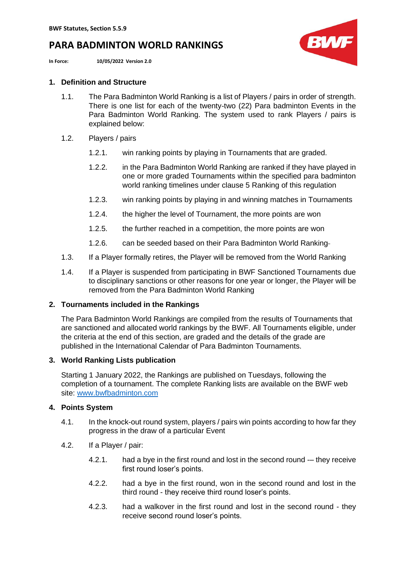# **PARA BADMINTON WORLD RANKINGS**

**In Force: 10/05/2022 Version 2.0**



## **1. Definition and Structure**

- 1.1. The Para Badminton World Ranking is a list of Players / pairs in order of strength. There is one list for each of the twenty-two (22) Para badminton Events in the Para Badminton World Ranking. The system used to rank Players / pairs is explained below:
- 1.2. Players / pairs
	- 1.2.1. win ranking points by playing in Tournaments that are graded.
	- 1.2.2. in the Para Badminton World Ranking are ranked if they have played in one or more graded Tournaments within the specified para badminton world ranking timelines under clause 5 Ranking of this regulation
	- 1.2.3. win ranking points by playing in and winning matches in Tournaments
	- 1.2.4. the higher the level of Tournament, the more points are won
	- 1.2.5. the further reached in a competition, the more points are won
	- 1.2.6. can be seeded based on their Para Badminton World Ranking
- 1.3. If a Player formally retires, the Player will be removed from the World Ranking
- 1.4. If a Player is suspended from participating in BWF Sanctioned Tournaments due to disciplinary sanctions or other reasons for one year or longer, the Player will be removed from the Para Badminton World Ranking

# **2. Tournaments included in the Rankings**

The Para Badminton World Rankings are compiled from the results of Tournaments that are sanctioned and allocated world rankings by the BWF. All Tournaments eligible, under the criteria at the end of this section, are graded and the details of the grade are published in the International Calendar of Para Badminton Tournaments.

# **3. World Ranking Lists publication**

Starting 1 January 2022, the Rankings are published on Tuesdays, following the completion of a tournament. The complete Ranking lists are available on the BWF web site: [www.bwfbadminton.com](http://www.bwfbadminton.com/)

### **4. Points System**

- 4.1. In the knock-out round system, players / pairs win points according to how far they progress in the draw of a particular Event
- 4.2. If a Player / pair:
	- 4.2.1. had a bye in the first round and lost in the second round -– they receive first round loser's points.
	- 4.2.2. had a bye in the first round, won in the second round and lost in the third round - they receive third round loser's points.
	- 4.2.3. had a walkover in the first round and lost in the second round they receive second round loser's points.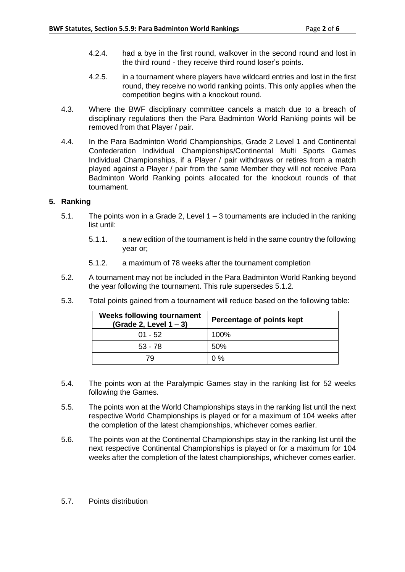- 4.2.4. had a bye in the first round, walkover in the second round and lost in the third round - they receive third round loser's points.
- 4.2.5. in a tournament where players have wildcard entries and lost in the first round, they receive no world ranking points. This only applies when the competition begins with a knockout round.
- 4.3. Where the BWF disciplinary committee cancels a match due to a breach of disciplinary regulations then the Para Badminton World Ranking points will be removed from that Player / pair.
- 4.4. In the Para Badminton World Championships, Grade 2 Level 1 and Continental Confederation Individual Championships/Continental Multi Sports Games Individual Championships, if a Player / pair withdraws or retires from a match played against a Player / pair from the same Member they will not receive Para Badminton World Ranking points allocated for the knockout rounds of that tournament.

### **5. Ranking**

- 5.1. The points won in a Grade 2, Level 1 3 tournaments are included in the ranking list until:
	- 5.1.1. a new edition of the tournament is held in the same country the following year or;
	- 5.1.2. a maximum of 78 weeks after the tournament completion
- 5.2. A tournament may not be included in the Para Badminton World Ranking beyond the year following the tournament. This rule supersedes 5.1.2.
- 5.3. Total points gained from a tournament will reduce based on the following table:

| <b>Weeks following tournament</b><br>(Grade 2, Level $1 - 3$ ) | Percentage of points kept |
|----------------------------------------------------------------|---------------------------|
| $01 - 52$                                                      | 100%                      |
| $53 - 78$                                                      | 50%                       |
| 79                                                             | $0\%$                     |

- 5.4. The points won at the Paralympic Games stay in the ranking list for 52 weeks following the Games.
- 5.5. The points won at the World Championships stays in the ranking list until the next respective World Championships is played or for a maximum of 104 weeks after the completion of the latest championships, whichever comes earlier.
- 5.6. The points won at the Continental Championships stay in the ranking list until the next respective Continental Championships is played or for a maximum for 104 weeks after the completion of the latest championships, whichever comes earlier.
- 5.7. Points distribution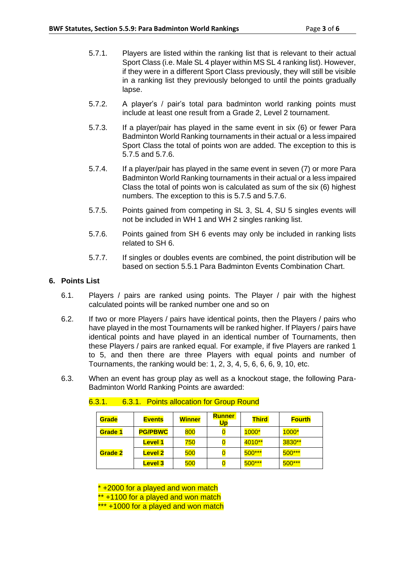- 5.7.1. Players are listed within the ranking list that is relevant to their actual Sport Class (i.e. Male SL 4 player within MS SL 4 ranking list). However, if they were in a different Sport Class previously, they will still be visible in a ranking list they previously belonged to until the points gradually lapse.
- 5.7.2. A player's / pair's total para badminton world ranking points must include at least one result from a Grade 2, Level 2 tournament.
- 5.7.3. If a player/pair has played in the same event in six (6) or fewer Para Badminton World Ranking tournaments in their actual or a less impaired Sport Class the total of points won are added. The exception to this is 5.7.5 and 5.7.6.
- 5.7.4. If a player/pair has played in the same event in seven (7) or more Para Badminton World Ranking tournaments in their actual or a less impaired Class the total of points won is calculated as sum of the six (6) highest numbers. The exception to this is 5.7.5 and 5.7.6.
- 5.7.5. Points gained from competing in SL 3, SL 4, SU 5 singles events will not be included in WH 1 and WH 2 singles ranking list.
- 5.7.6. Points gained from SH 6 events may only be included in ranking lists related to SH 6.
- 5.7.7. If singles or doubles events are combined, the point distribution will be based on section 5.5.1 Para Badminton Events Combination Chart.

### **6. Points List**

- 6.1. Players / pairs are ranked using points. The Player / pair with the highest calculated points will be ranked number one and so on
- 6.2. If two or more Players / pairs have identical points, then the Players / pairs who have played in the most Tournaments will be ranked higher. If Players / pairs have identical points and have played in an identical number of Tournaments, then these Players / pairs are ranked equal. For example, if five Players are ranked 1 to 5, and then there are three Players with equal points and number of Tournaments, the ranking would be: 1, 2, 3, 4, 5, 6, 6, 6, 9, 10, etc.
- 6.3. When an event has group play as well as a knockout stage, the following Para-Badminton World Ranking Points are awarded:

| Grade   | <b>Events</b>  | <b>Winner</b> | <b>Runner</b><br>Up | <b>Third</b> | <b>Fourth</b> |
|---------|----------------|---------------|---------------------|--------------|---------------|
| Grade 1 | <b>PG/PBWC</b> | 800           |                     | 1000*        | $1000*$       |
|         | <b>Level 1</b> | 750           |                     | 4010**       | 3830**        |
| Grade 2 | <b>Level 2</b> | 500           | $\bf{0}$            | $500***$     | $500***$      |
|         | <b>Level 3</b> | 500           |                     | $500***$     | $500***$      |

### 6.3.1. 6.3.1. Points allocation for Group Round

\* +2000 for a played and won match \*\* +1100 for a played and won match \*\*\* +1000 for a played and won match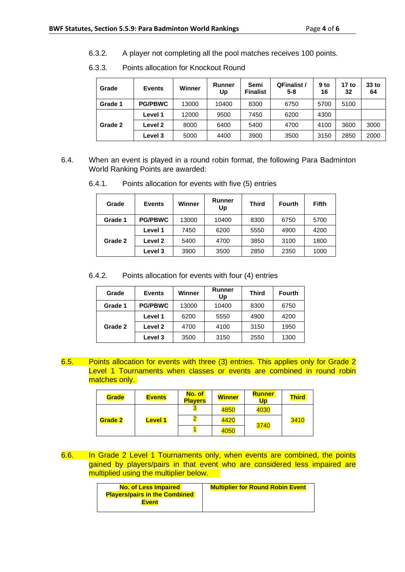6.3.2. A player not completing all the pool matches receives 100 points.

| Grade   | <b>Events</b>  | Winner | Runner<br>Up | Semi<br><b>Finalist</b> | <b>QFinalist /</b><br>$5 - 8$ | $9$ to<br>16 | 17 to<br>32 | $33$ to<br>64 |
|---------|----------------|--------|--------------|-------------------------|-------------------------------|--------------|-------------|---------------|
| Grade 1 | <b>PG/PBWC</b> | 13000  | 10400        | 8300                    | 6750                          | 5700         | 5100        |               |
|         | Level 1        | 12000  | 9500         | 7450                    | 6200                          | 4300         |             |               |
| Grade 2 | Level 2        | 8000   | 6400         | 5400                    | 4700                          | 4100         | 3600        | 3000          |
|         | Level 3        | 5000   | 4400         | 3900                    | 3500                          | 3150         | 2850        | 2000          |

6.3.3. Points allocation for Knockout Round

6.4. When an event is played in a round robin format, the following Para Badminton World Ranking Points are awarded:

| Grade   | <b>Events</b>  | Winner | <b>Runner</b><br>Up | <b>Third</b> | <b>Fourth</b> | Fifth |
|---------|----------------|--------|---------------------|--------------|---------------|-------|
| Grade 1 | <b>PG/PBWC</b> | 13000  | 10400               | 8300         | 6750          | 5700  |
|         | Level 1        | 7450   | 6200                | 5550         | 4900          | 4200  |
| Grade 2 | Level 2        | 5400   | 4700                | 3850         | 3100          | 1800  |
|         | Level 3        | 3900   | 3500                | 2850         | 2350          | 1000  |

6.4.1. Points allocation for events with five (5) entries

6.4.2. Points allocation for events with four (4) entries

| Grade   | <b>Events</b>  | Winner | Runner<br>Up | Third | <b>Fourth</b> |
|---------|----------------|--------|--------------|-------|---------------|
| Grade 1 | <b>PG/PBWC</b> | 13000  | 10400        | 8300  | 6750          |
|         | Level 1        | 6200   | 5550         | 4900  | 4200          |
| Grade 2 | Level 2        | 4700   | 4100         | 3150  | 1950          |
|         | Level 3        | 3500   | 3150         | 2550  | 1300          |

6.5. Points allocation for events with three (3) entries. This applies only for Grade 2 Level 1 Tournaments when classes or events are combined in round robin matches only.

| Grade   | <b>Events</b>  | No. of<br><b>Players</b> | <b>Winner</b> | <b>Runner</b><br>Up | <b>Third</b> |
|---------|----------------|--------------------------|---------------|---------------------|--------------|
|         |                |                          | 4850          | 4030                |              |
| Grade 2 | <b>Level 1</b> |                          | 4420          | 3740                | 3410         |
|         |                | 4050                     |               |                     |              |

6.6. In Grade 2 Level 1 Tournaments only, when events are combined, the points gained by players/pairs in that event who are considered less impaired are multiplied using the multiplier below.

| <b>No. of Less Impaired</b>          | <b>Multiplier for Round Robin Event</b> |
|--------------------------------------|-----------------------------------------|
| <b>Players/pairs in the Combined</b> |                                         |
| <b>Event</b>                         |                                         |
|                                      |                                         |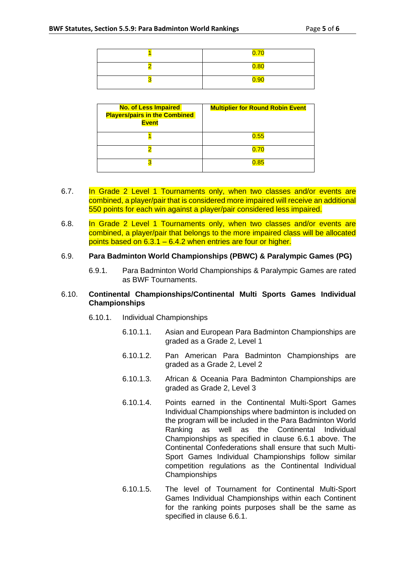| $\overline{\mathbf{z}}$<br><u>u.rt</u> |
|----------------------------------------|
| 0.80                                   |
| 0.90                                   |

| <b>No. of Less Impaired</b><br><b>Players/pairs in the Combined</b><br><b>Event</b> | <b>Multiplier for Round Robin Event</b> |
|-------------------------------------------------------------------------------------|-----------------------------------------|
|                                                                                     | 0.55                                    |
|                                                                                     |                                         |
|                                                                                     | 0.85                                    |

- 6.7. In Grade 2 Level 1 Tournaments only, when two classes and/or events are combined, a player/pair that is considered more impaired will receive an additional 550 points for each win against a player/pair considered less impaired.
- 6.8. In Grade 2 Level 1 Tournaments only, when two classes and/or events are combined, a player/pair that belongs to the more impaired class will be allocated points based on 6.3.1 – 6.4.2 when entries are four or higher.

#### 6.9. **Para Badminton World Championships (PBWC) & Paralympic Games (PG)**

6.9.1. Para Badminton World Championships & Paralympic Games are rated as BWF Tournaments.

#### 6.10. **Continental Championships/Continental Multi Sports Games Individual Championships**

- 6.10.1. Individual Championships
	- 6.10.1.1. Asian and European Para Badminton Championships are graded as a Grade 2, Level 1
	- 6.10.1.2. Pan American Para Badminton Championships are graded as a Grade 2, Level 2
	- 6.10.1.3. African & Oceania Para Badminton Championships are graded as Grade 2, Level 3
	- 6.10.1.4. Points earned in the Continental Multi-Sport Games Individual Championships where badminton is included on the program will be included in the Para Badminton World Ranking as well as the Continental Individual Championships as specified in clause 6.6.1 above. The Continental Confederations shall ensure that such Multi-Sport Games Individual Championships follow similar competition regulations as the Continental Individual Championships
	- 6.10.1.5. The level of Tournament for Continental Multi-Sport Games Individual Championships within each Continent for the ranking points purposes shall be the same as specified in clause 6.6.1.